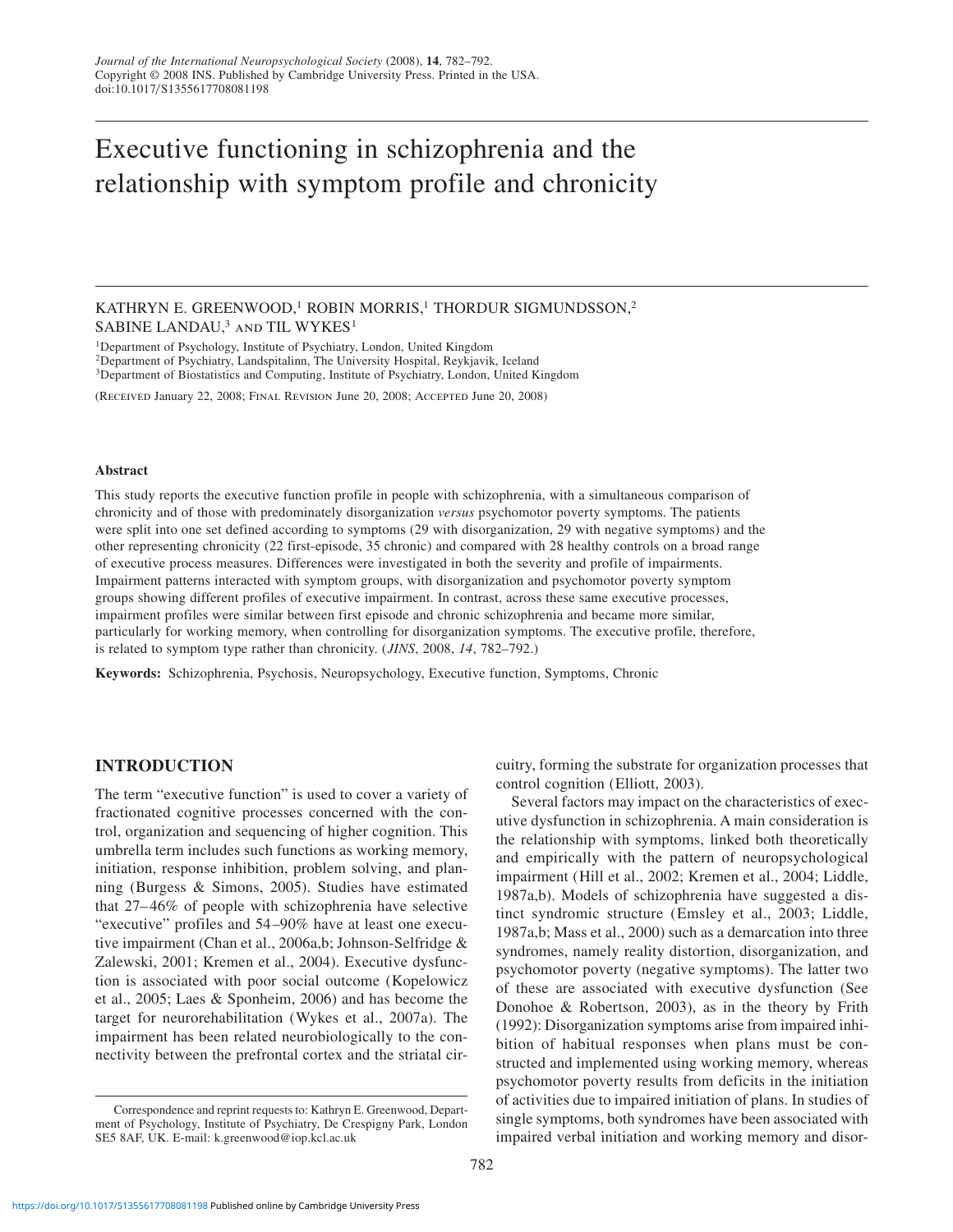# Executive functioning in schizophrenia and the relationship with symptom profile and chronicity

KATHRYN E. GREENWOOD,<sup>1</sup> ROBIN MORRIS,<sup>1</sup> THORDUR SIGMUNDSSON,<sup>2</sup> SABINE LANDAU,<sup>3</sup> AND TIL WYKES<sup>1</sup>

1Department of Psychology, Institute of Psychiatry, London, United Kingdom 2Department of Psychiatry, Landspitalinn, The University Hospital, Reykjavik, Iceland

3Department of Biostatistics and Computing, Institute of Psychiatry, London, United Kingdom

(Received January 22, 2008; Final Revision June 20, 2008; Accepted June 20, 2008)

#### **Abstract**

This study reports the executive function profile in people with schizophrenia, with a simultaneous comparison of chronicity and of those with predominately disorganization *versus* psychomotor poverty symptoms. The patients were split into one set defined according to symptoms (29 with disorganization, 29 with negative symptoms) and the other representing chronicity (22 first-episode, 35 chronic) and compared with 28 healthy controls on a broad range of executive process measures. Differences were investigated in both the severity and profile of impairments. Impairment patterns interacted with symptom groups, with disorganization and psychomotor poverty symptom groups showing different profiles of executive impairment. In contrast, across these same executive processes, impairment profiles were similar between first episode and chronic schizophrenia and became more similar, particularly for working memory, when controlling for disorganization symptoms. The executive profile, therefore, is related to symptom type rather than chronicity. (*JINS*, 2008, *14*, 782–792.)

**Keywords:** Schizophrenia, Psychosis, Neuropsychology, Executive function, Symptoms, Chronic

# **INTRODUCTION**

The term "executive function" is used to cover a variety of fractionated cognitive processes concerned with the control, organization and sequencing of higher cognition. This umbrella term includes such functions as working memory, initiation, response inhibition, problem solving, and planning (Burgess & Simons, 2005). Studies have estimated that 27– 46% of people with schizophrenia have selective "executive" profiles and 54–90% have at least one executive impairment (Chan et al., 2006a,b; Johnson-Selfridge & Zalewski, 2001; Kremen et al., 2004). Executive dysfunction is associated with poor social outcome (Kopelowicz et al., 2005; Laes & Sponheim, 2006) and has become the target for neurorehabilitation (Wykes et al., 2007a). The impairment has been related neurobiologically to the connectivity between the prefrontal cortex and the striatal cir-

impairment (Hill et al., 2002; Kremen et al., 2004; Liddle, 1987a,b). Models of schizophrenia have suggested a dis-

control cognition (Elliott, 2003).

tinct syndromic structure (Emsley et al., 2003; Liddle, 1987a,b; Mass et al., 2000) such as a demarcation into three syndromes, namely reality distortion, disorganization, and psychomotor poverty (negative symptoms). The latter two of these are associated with executive dysfunction (See Donohoe & Robertson, 2003), as in the theory by Frith (1992): Disorganization symptoms arise from impaired inhibition of habitual responses when plans must be constructed and implemented using working memory, whereas psychomotor poverty results from deficits in the initiation of activities due to impaired initiation of plans. In studies of single symptoms, both syndromes have been associated with impaired verbal initiation and working memory and disor-

cuitry, forming the substrate for organization processes that

Several factors may impact on the characteristics of executive dysfunction in schizophrenia. A main consideration is the relationship with symptoms, linked both theoretically and empirically with the pattern of neuropsychological

Correspondence and reprint requests to: Kathryn E. Greenwood, Department of Psychology, Institute of Psychiatry, De Crespigny Park, London SE5 8AF, UK. E-mail: k.greenwood@iop.kcl.ac.uk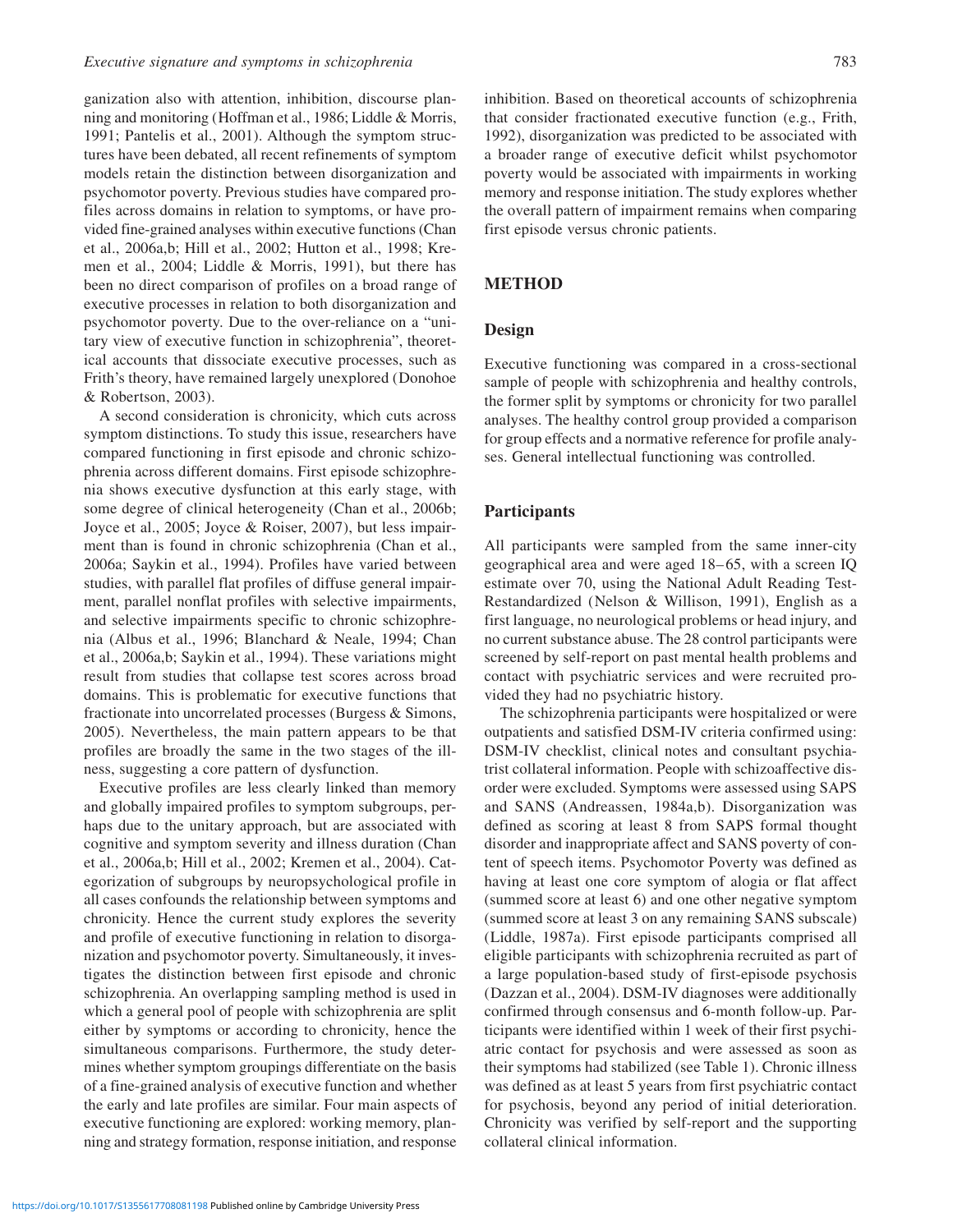ganization also with attention, inhibition, discourse planning and monitoring (Hoffman et al., 1986; Liddle & Morris, 1991; Pantelis et al., 2001). Although the symptom structures have been debated, all recent refinements of symptom models retain the distinction between disorganization and psychomotor poverty. Previous studies have compared profiles across domains in relation to symptoms, or have provided fine-grained analyses within executive functions (Chan et al., 2006a,b; Hill et al., 2002; Hutton et al., 1998; Kremen et al., 2004; Liddle & Morris, 1991), but there has been no direct comparison of profiles on a broad range of executive processes in relation to both disorganization and psychomotor poverty. Due to the over-reliance on a "unitary view of executive function in schizophrenia", theoretical accounts that dissociate executive processes, such as Frith's theory, have remained largely unexplored (Donohoe & Robertson, 2003).

A second consideration is chronicity, which cuts across symptom distinctions. To study this issue, researchers have compared functioning in first episode and chronic schizophrenia across different domains. First episode schizophrenia shows executive dysfunction at this early stage, with some degree of clinical heterogeneity (Chan et al., 2006b; Joyce et al., 2005; Joyce & Roiser, 2007), but less impairment than is found in chronic schizophrenia (Chan et al., 2006a; Saykin et al., 1994). Profiles have varied between studies, with parallel flat profiles of diffuse general impairment, parallel nonflat profiles with selective impairments, and selective impairments specific to chronic schizophrenia (Albus et al., 1996; Blanchard & Neale, 1994; Chan et al., 2006a,b; Saykin et al., 1994). These variations might result from studies that collapse test scores across broad domains. This is problematic for executive functions that fractionate into uncorrelated processes (Burgess & Simons, 2005). Nevertheless, the main pattern appears to be that profiles are broadly the same in the two stages of the illness, suggesting a core pattern of dysfunction.

Executive profiles are less clearly linked than memory and globally impaired profiles to symptom subgroups, perhaps due to the unitary approach, but are associated with cognitive and symptom severity and illness duration (Chan et al., 2006a,b; Hill et al., 2002; Kremen et al., 2004). Categorization of subgroups by neuropsychological profile in all cases confounds the relationship between symptoms and chronicity. Hence the current study explores the severity and profile of executive functioning in relation to disorganization and psychomotor poverty. Simultaneously, it investigates the distinction between first episode and chronic schizophrenia. An overlapping sampling method is used in which a general pool of people with schizophrenia are split either by symptoms or according to chronicity, hence the simultaneous comparisons. Furthermore, the study determines whether symptom groupings differentiate on the basis of a fine-grained analysis of executive function and whether the early and late profiles are similar. Four main aspects of executive functioning are explored: working memory, planning and strategy formation, response initiation, and response inhibition. Based on theoretical accounts of schizophrenia that consider fractionated executive function (e.g., Frith, 1992), disorganization was predicted to be associated with a broader range of executive deficit whilst psychomotor poverty would be associated with impairments in working memory and response initiation. The study explores whether the overall pattern of impairment remains when comparing first episode versus chronic patients.

### **METHOD**

### **Design**

Executive functioning was compared in a cross-sectional sample of people with schizophrenia and healthy controls, the former split by symptoms or chronicity for two parallel analyses. The healthy control group provided a comparison for group effects and a normative reference for profile analyses. General intellectual functioning was controlled.

### **Participants**

All participants were sampled from the same inner-city geographical area and were aged 18– 65, with a screen IQ estimate over 70, using the National Adult Reading Test-Restandardized (Nelson & Willison, 1991), English as a first language, no neurological problems or head injury, and no current substance abuse. The 28 control participants were screened by self-report on past mental health problems and contact with psychiatric services and were recruited provided they had no psychiatric history.

The schizophrenia participants were hospitalized or were outpatients and satisfied DSM-IV criteria confirmed using: DSM-IV checklist, clinical notes and consultant psychiatrist collateral information. People with schizoaffective disorder were excluded. Symptoms were assessed using SAPS and SANS (Andreassen, 1984a,b). Disorganization was defined as scoring at least 8 from SAPS formal thought disorder and inappropriate affect and SANS poverty of content of speech items. Psychomotor Poverty was defined as having at least one core symptom of alogia or flat affect (summed score at least 6) and one other negative symptom (summed score at least 3 on any remaining SANS subscale) (Liddle, 1987a). First episode participants comprised all eligible participants with schizophrenia recruited as part of a large population-based study of first-episode psychosis (Dazzan et al., 2004). DSM-IV diagnoses were additionally confirmed through consensus and 6-month follow-up. Participants were identified within 1 week of their first psychiatric contact for psychosis and were assessed as soon as their symptoms had stabilized (see Table 1). Chronic illness was defined as at least 5 years from first psychiatric contact for psychosis, beyond any period of initial deterioration. Chronicity was verified by self-report and the supporting collateral clinical information.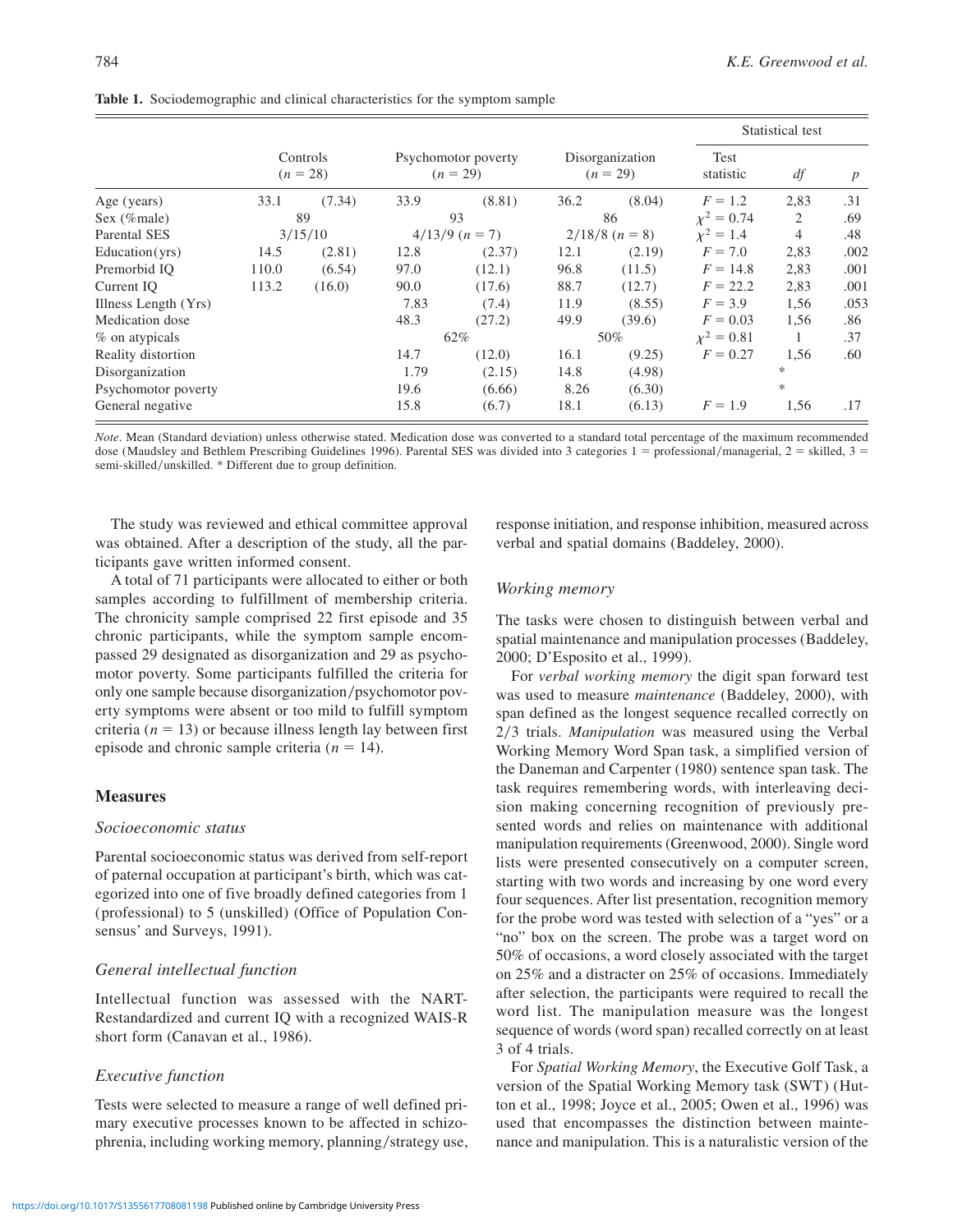|                      |                        |        |                                   |        |                               |        | Statistical test  |        |                  |
|----------------------|------------------------|--------|-----------------------------------|--------|-------------------------------|--------|-------------------|--------|------------------|
|                      | Controls<br>$(n = 28)$ |        | Psychomotor poverty<br>$(n = 29)$ |        | Disorganization<br>$(n = 29)$ |        | Test<br>statistic | df     | $\boldsymbol{p}$ |
| Age (years)          | 33.1                   | (7.34) | 33.9                              | (8.81) | 36.2                          | (8.04) | $F = 1.2$         | 2,83   | .31              |
| Sex (%male)          | 89                     |        | 93                                |        | 86                            |        | $x^2 = 0.74$      | 2      | .69              |
| <b>Parental SES</b>  | 3/15/10                |        | $4/13/9$ $(n = 7)$                |        | $2/18/8$ $(n = 8)$            |        | $x^2 = 1.4$       | 4      | .48              |
| Education(yrs)       | 14.5                   | (2.81) | 12.8                              | (2.37) | 12.1                          | (2.19) | $F = 7.0$         | 2,83   | .002             |
| Premorbid IO         | 110.0                  | (6.54) | 97.0                              | (12.1) | 96.8                          | (11.5) | $F = 14.8$        | 2,83   | .001             |
| Current IO           | 113.2                  | (16.0) | 90.0                              | (17.6) | 88.7                          | (12.7) | $F = 22.2$        | 2,83   | .001             |
| Illness Length (Yrs) |                        |        | 7.83                              | (7.4)  | 11.9                          | (8.55) | $F = 3.9$         | 1,56   | .053             |
| Medication dose      |                        |        | 48.3                              | (27.2) | 49.9                          | (39.6) | $F = 0.03$        | 1,56   | .86              |
| $%$ on atypicals     |                        |        | 62%                               |        | 50%                           |        | $x^2 = 0.81$      |        | .37              |
| Reality distortion   |                        |        | 14.7                              | (12.0) | 16.1                          | (9.25) | $F = 0.27$        | 1,56   | .60              |
| Disorganization      |                        |        | 1.79                              | (2.15) | 14.8                          | (4.98) |                   | $\ast$ |                  |
| Psychomotor poverty  |                        |        | 19.6                              | (6.66) | 8.26                          | (6.30) |                   | $\ast$ |                  |
| General negative     |                        |        | 15.8                              | (6.7)  | 18.1                          | (6.13) | $F = 1.9$         | 1,56   | .17              |

|  | Table 1. Sociodemographic and clinical characteristics for the symptom sample |  |  |  |  |  |
|--|-------------------------------------------------------------------------------|--|--|--|--|--|
|--|-------------------------------------------------------------------------------|--|--|--|--|--|

*Note*. Mean (Standard deviation) unless otherwise stated. Medication dose was converted to a standard total percentage of the maximum recommended dose (Maudsley and Bethlem Prescribing Guidelines 1996). Parental SES was divided into 3 categories  $1 =$  professional/managerial,  $2 =$  skilled,  $3 =$ semi-skilled/unskilled. \* Different due to group definition.

The study was reviewed and ethical committee approval was obtained. After a description of the study, all the participants gave written informed consent.

A total of 71 participants were allocated to either or both samples according to fulfillment of membership criteria. The chronicity sample comprised 22 first episode and 35 chronic participants, while the symptom sample encompassed 29 designated as disorganization and 29 as psychomotor poverty. Some participants fulfilled the criteria for only one sample because disorganization/psychomotor poverty symptoms were absent or too mild to fulfill symptom criteria ( $n = 13$ ) or because illness length lay between first episode and chronic sample criteria  $(n = 14)$ .

### **Measures**

### *Socioeconomic status*

Parental socioeconomic status was derived from self-report of paternal occupation at participant's birth, which was categorized into one of five broadly defined categories from 1 (professional) to 5 (unskilled) (Office of Population Consensus' and Surveys, 1991).

#### *General intellectual function*

Intellectual function was assessed with the NART-Restandardized and current IQ with a recognized WAIS-R short form (Canavan et al., 1986).

### *Executive function*

Tests were selected to measure a range of well defined primary executive processes known to be affected in schizophrenia, including working memory, planning/strategy use, response initiation, and response inhibition, measured across verbal and spatial domains (Baddeley, 2000).

### *Working memory*

The tasks were chosen to distinguish between verbal and spatial maintenance and manipulation processes (Baddeley, 2000; D'Esposito et al., 1999).

For *verbal working memory* the digit span forward test was used to measure *maintenance* (Baddeley, 2000), with span defined as the longest sequence recalled correctly on 2/3 trials. *Manipulation* was measured using the Verbal Working Memory Word Span task, a simplified version of the Daneman and Carpenter (1980) sentence span task. The task requires remembering words, with interleaving decision making concerning recognition of previously presented words and relies on maintenance with additional manipulation requirements (Greenwood, 2000). Single word lists were presented consecutively on a computer screen, starting with two words and increasing by one word every four sequences. After list presentation, recognition memory for the probe word was tested with selection of a "yes" or a "no" box on the screen. The probe was a target word on 50% of occasions, a word closely associated with the target on 25% and a distracter on 25% of occasions. Immediately after selection, the participants were required to recall the word list. The manipulation measure was the longest sequence of words (word span) recalled correctly on at least 3 of 4 trials.

For *Spatial Working Memory*, the Executive Golf Task, a version of the Spatial Working Memory task (SWT) (Hutton et al., 1998; Joyce et al., 2005; Owen et al., 1996) was used that encompasses the distinction between maintenance and manipulation. This is a naturalistic version of the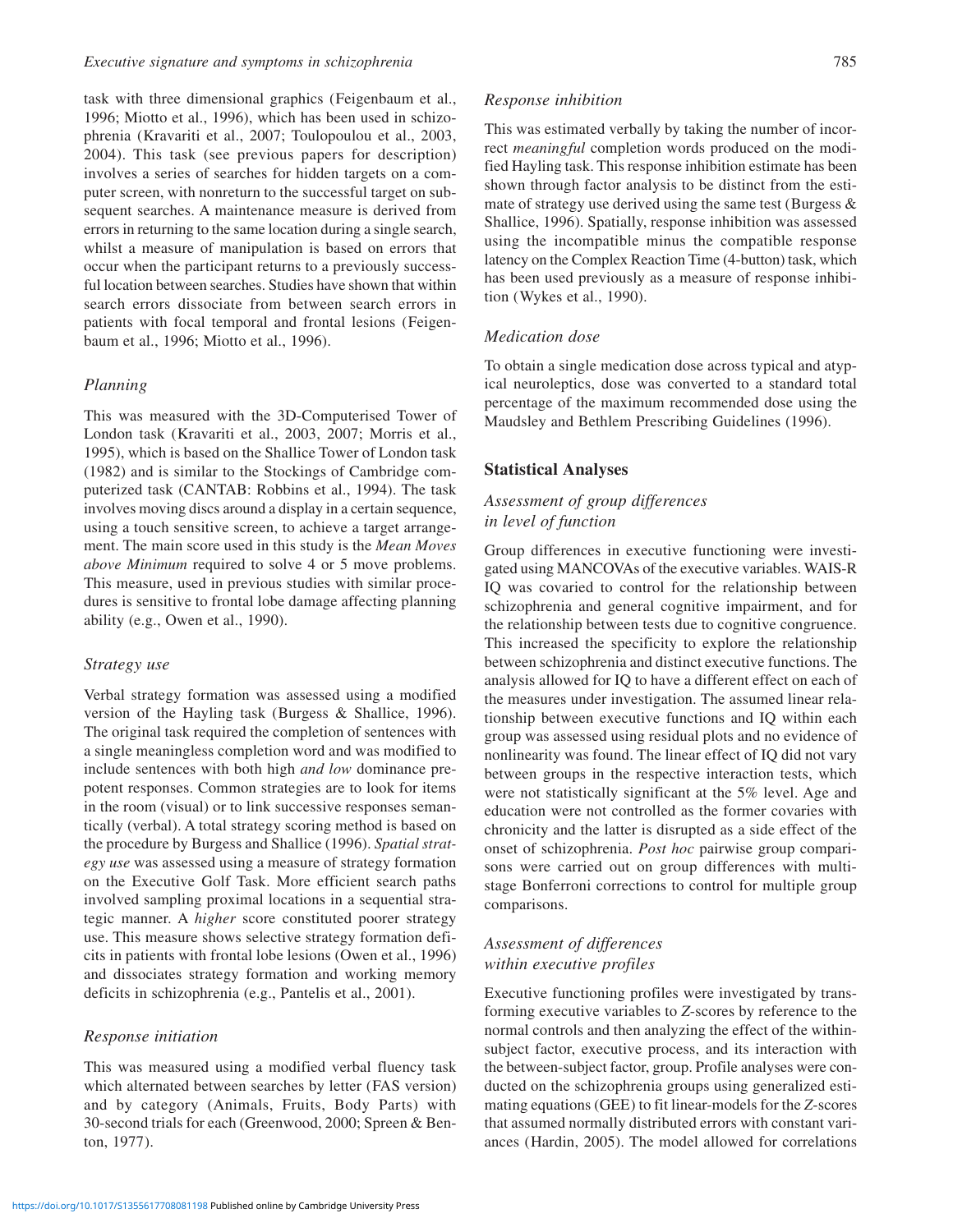task with three dimensional graphics (Feigenbaum et al., 1996; Miotto et al., 1996), which has been used in schizophrenia (Kravariti et al., 2007; Toulopoulou et al., 2003, 2004). This task (see previous papers for description) involves a series of searches for hidden targets on a computer screen, with nonreturn to the successful target on subsequent searches. A maintenance measure is derived from errors in returning to the same location during a single search, whilst a measure of manipulation is based on errors that occur when the participant returns to a previously successful location between searches. Studies have shown that within search errors dissociate from between search errors in patients with focal temporal and frontal lesions (Feigenbaum et al., 1996; Miotto et al., 1996).

### *Planning*

This was measured with the 3D-Computerised Tower of London task (Kravariti et al., 2003, 2007; Morris et al., 1995), which is based on the Shallice Tower of London task (1982) and is similar to the Stockings of Cambridge computerized task (CANTAB: Robbins et al., 1994). The task involves moving discs around a display in a certain sequence, using a touch sensitive screen, to achieve a target arrangement. The main score used in this study is the *Mean Moves above Minimum* required to solve 4 or 5 move problems. This measure, used in previous studies with similar procedures is sensitive to frontal lobe damage affecting planning ability (e.g., Owen et al., 1990).

### *Strategy use*

Verbal strategy formation was assessed using a modified version of the Hayling task (Burgess & Shallice, 1996). The original task required the completion of sentences with a single meaningless completion word and was modified to include sentences with both high *and low* dominance prepotent responses. Common strategies are to look for items in the room (visual) or to link successive responses semantically (verbal). A total strategy scoring method is based on the procedure by Burgess and Shallice (1996). *Spatial strategy use* was assessed using a measure of strategy formation on the Executive Golf Task. More efficient search paths involved sampling proximal locations in a sequential strategic manner. A *higher* score constituted poorer strategy use. This measure shows selective strategy formation deficits in patients with frontal lobe lesions (Owen et al., 1996) and dissociates strategy formation and working memory deficits in schizophrenia (e.g., Pantelis et al., 2001).

#### *Response initiation*

This was measured using a modified verbal fluency task which alternated between searches by letter (FAS version) and by category (Animals, Fruits, Body Parts) with 30-second trials for each (Greenwood, 2000; Spreen & Benton, 1977).

### *Response inhibition*

This was estimated verbally by taking the number of incorrect *meaningful* completion words produced on the modified Hayling task. This response inhibition estimate has been shown through factor analysis to be distinct from the estimate of strategy use derived using the same test (Burgess  $\&$ Shallice, 1996). Spatially, response inhibition was assessed using the incompatible minus the compatible response latency on the Complex Reaction Time (4-button) task, which has been used previously as a measure of response inhibition (Wykes et al., 1990).

### *Medication dose*

To obtain a single medication dose across typical and atypical neuroleptics, dose was converted to a standard total percentage of the maximum recommended dose using the Maudsley and Bethlem Prescribing Guidelines (1996).

### **Statistical Analyses**

# *Assessment of group differences in level of function*

Group differences in executive functioning were investigated using MANCOVAs of the executive variables. WAIS-R IQ was covaried to control for the relationship between schizophrenia and general cognitive impairment, and for the relationship between tests due to cognitive congruence. This increased the specificity to explore the relationship between schizophrenia and distinct executive functions. The analysis allowed for IQ to have a different effect on each of the measures under investigation. The assumed linear relationship between executive functions and IQ within each group was assessed using residual plots and no evidence of nonlinearity was found. The linear effect of IQ did not vary between groups in the respective interaction tests, which were not statistically significant at the 5% level. Age and education were not controlled as the former covaries with chronicity and the latter is disrupted as a side effect of the onset of schizophrenia. *Post hoc* pairwise group comparisons were carried out on group differences with multistage Bonferroni corrections to control for multiple group comparisons.

# *Assessment of differences within executive profiles*

Executive functioning profiles were investigated by transforming executive variables to *Z*-scores by reference to the normal controls and then analyzing the effect of the withinsubject factor, executive process, and its interaction with the between-subject factor, group. Profile analyses were conducted on the schizophrenia groups using generalized estimating equations (GEE) to fit linear-models for the *Z*-scores that assumed normally distributed errors with constant variances (Hardin, 2005). The model allowed for correlations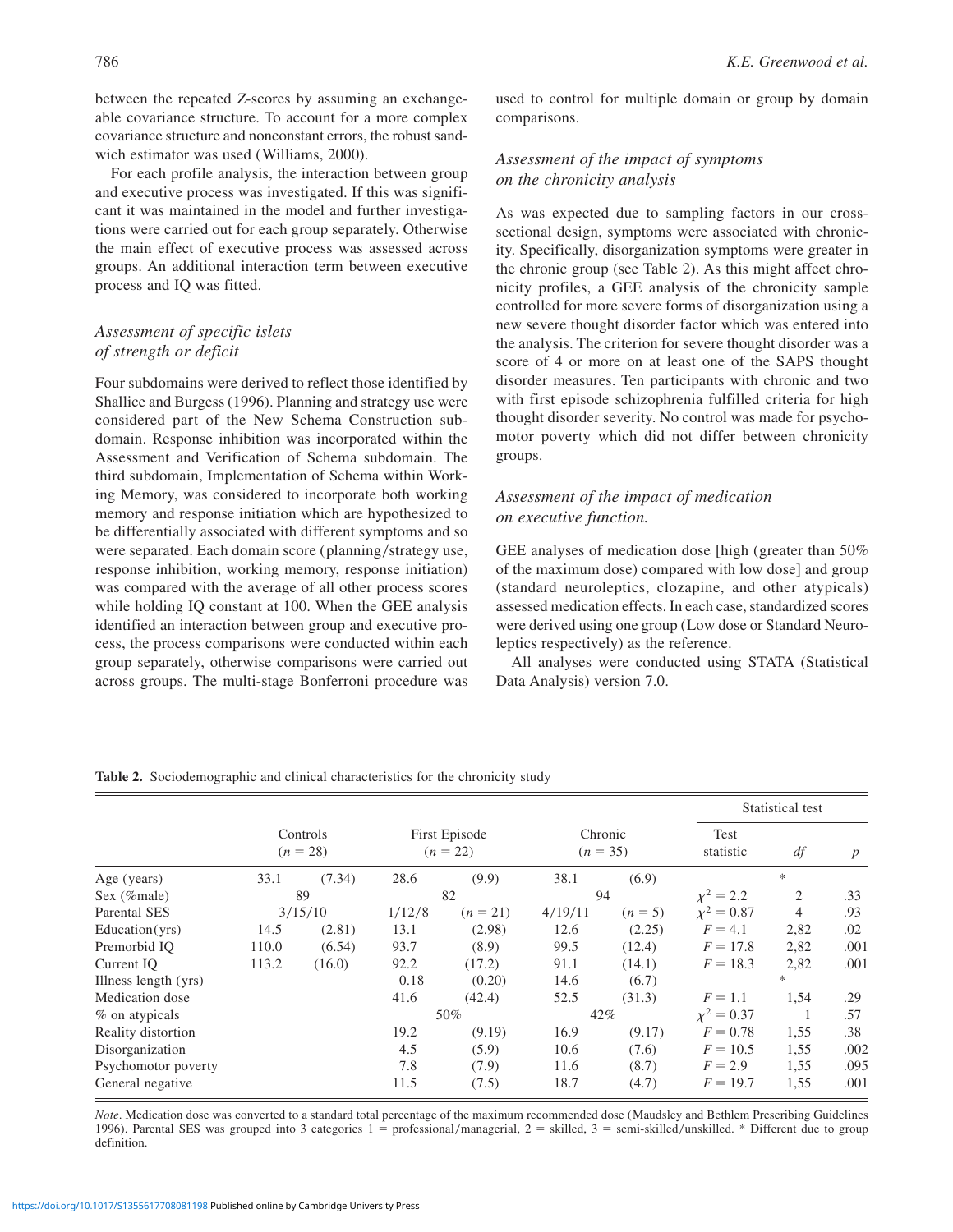between the repeated *Z*-scores by assuming an exchangeable covariance structure. To account for a more complex covariance structure and nonconstant errors, the robust sandwich estimator was used (Williams, 2000).

For each profile analysis, the interaction between group and executive process was investigated. If this was significant it was maintained in the model and further investigations were carried out for each group separately. Otherwise the main effect of executive process was assessed across groups. An additional interaction term between executive process and IQ was fitted.

# *Assessment of specific islets of strength or deficit*

Four subdomains were derived to reflect those identified by Shallice and Burgess (1996). Planning and strategy use were considered part of the New Schema Construction subdomain. Response inhibition was incorporated within the Assessment and Verification of Schema subdomain. The third subdomain, Implementation of Schema within Working Memory, was considered to incorporate both working memory and response initiation which are hypothesized to be differentially associated with different symptoms and so were separated. Each domain score (planning/strategy use, response inhibition, working memory, response initiation) was compared with the average of all other process scores while holding IQ constant at 100. When the GEE analysis identified an interaction between group and executive process, the process comparisons were conducted within each group separately, otherwise comparisons were carried out across groups. The multi-stage Bonferroni procedure was used to control for multiple domain or group by domain comparisons.

# *Assessment of the impact of symptoms on the chronicity analysis*

As was expected due to sampling factors in our crosssectional design, symptoms were associated with chronicity. Specifically, disorganization symptoms were greater in the chronic group (see Table 2). As this might affect chronicity profiles, a GEE analysis of the chronicity sample controlled for more severe forms of disorganization using a new severe thought disorder factor which was entered into the analysis. The criterion for severe thought disorder was a score of 4 or more on at least one of the SAPS thought disorder measures. Ten participants with chronic and two with first episode schizophrenia fulfilled criteria for high thought disorder severity. No control was made for psychomotor poverty which did not differ between chronicity groups.

# *Assessment of the impact of medication on executive function.*

GEE analyses of medication dose [high (greater than 50% of the maximum dose) compared with low dose] and group (standard neuroleptics, clozapine, and other atypicals) assessed medication effects. In each case, standardized scores were derived using one group (Low dose or Standard Neuroleptics respectively) as the reference.

All analyses were conducted using STATA (Statistical Data Analysis) version 7.0.

#### Statistical test Controls  $(n = 28)$ First Episode  $(n = 22)$ Chronic  $(n = 35)$ Test statistic *df p* Age (years) 33.1 (7.34) 28.6 (9.9) 38.1 (6.9) \* Sex (%male) 89 82 94  $\chi^2 = 2.2$  2.33 Parental SES 3/15/10  $1/12/8$   $(n = 21)$   $4/19/11$   $(n = 5)$   $\chi^2 = 0.87$  4 .93 Education(yrs) 14.5 (2.81) 13.1 (2.98) 12.6 (2.25)  $F = 4.1$  2,82 .02 Premorbid IQ 110.0 (6.54) 93.7 (8.9) 99.5 (12.4) *F* 5 17.8 2,82 .001 Current IQ 113.2 (16.0) 92.2 (17.2) 91.1 (14.1) *F* 5 18.3 2,82 .001 Illness length (yrs)  $0.18$   $(0.20)$   $14.6$   $(6.7)$  \* Medication dose 41.6 (42.4) 52.5 (31.3) *F* 5 1.1 1,54 .29 % on atypicals 60% 50% 42%  $\chi^2 = 0.37$  1 .57 Reality distortion 19.2 (9.19) 16.9 (9.17)  $F = 0.78$  1,55 .38 Disorganization 4.5 (5.9) 10.6 (7.6) *F* 5 10.5 1,55 .002 Psychomotor poverty 7.8 (7.9) 11.6 (8.7) *F* 5 2.9 1,55 .095 General negative 11.5 (7.5) 18.7 (4.7)  $F = 19.7$  1,55 .001

**Table 2.** Sociodemographic and clinical characteristics for the chronicity study

*Note*. Medication dose was converted to a standard total percentage of the maximum recommended dose (Maudsley and Bethlem Prescribing Guidelines 1996). Parental SES was grouped into 3 categories  $1 =$  professional/managerial,  $2 =$  skilled,  $3 =$  semi-skilled/unskilled. \* Different due to group definition.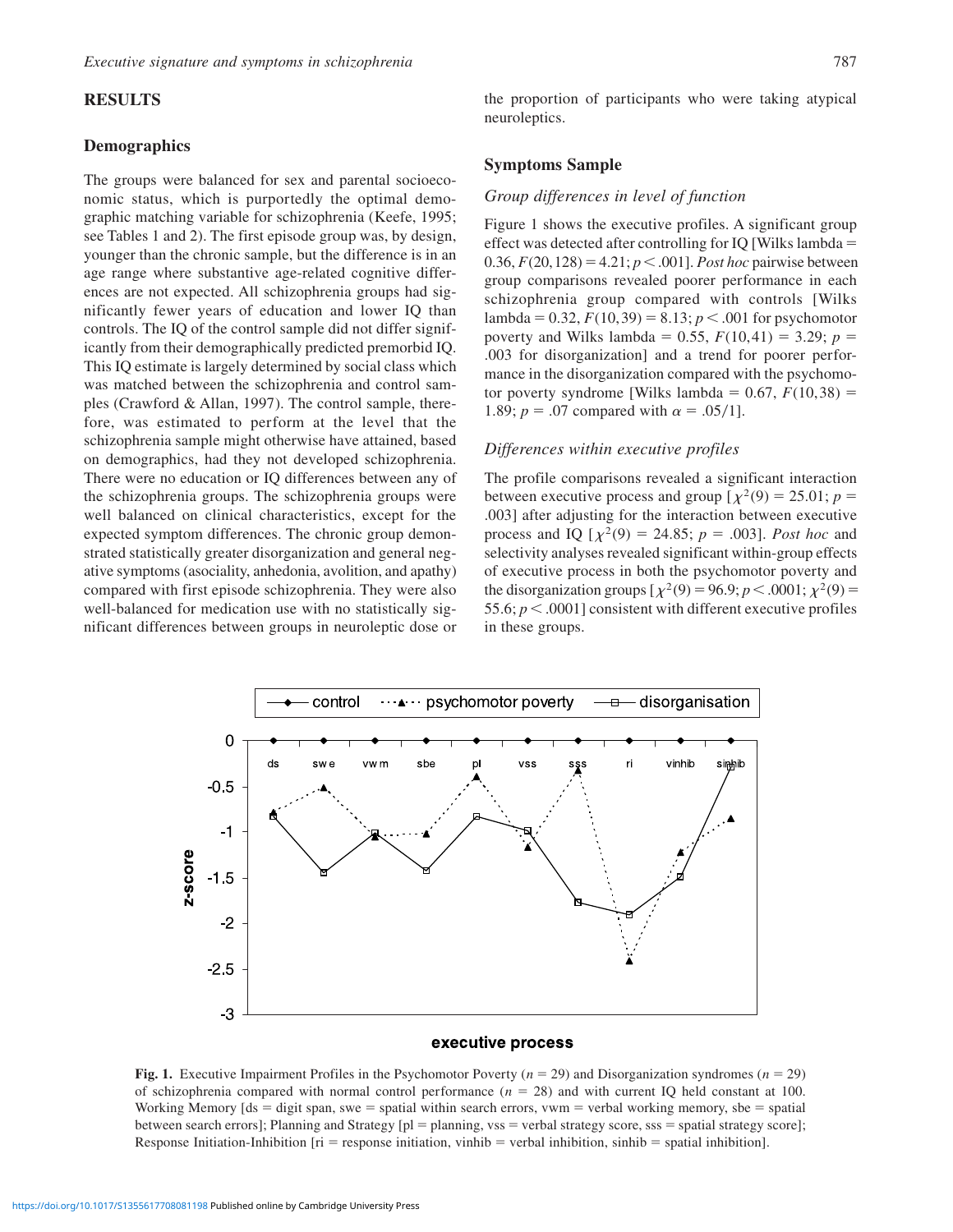### **RESULTS**

### **Demographics**

The groups were balanced for sex and parental socioeconomic status, which is purportedly the optimal demographic matching variable for schizophrenia (Keefe, 1995; see Tables 1 and 2). The first episode group was, by design, younger than the chronic sample, but the difference is in an age range where substantive age-related cognitive differences are not expected. All schizophrenia groups had significantly fewer years of education and lower IQ than controls. The IQ of the control sample did not differ significantly from their demographically predicted premorbid IQ. This IQ estimate is largely determined by social class which was matched between the schizophrenia and control samples (Crawford & Allan, 1997). The control sample, therefore, was estimated to perform at the level that the schizophrenia sample might otherwise have attained, based on demographics, had they not developed schizophrenia. There were no education or IQ differences between any of the schizophrenia groups. The schizophrenia groups were well balanced on clinical characteristics, except for the expected symptom differences. The chronic group demonstrated statistically greater disorganization and general negative symptoms (asociality, anhedonia, avolition, and apathy) compared with first episode schizophrenia. They were also well-balanced for medication use with no statistically significant differences between groups in neuroleptic dose or

the proportion of participants who were taking atypical neuroleptics.

### **Symptoms Sample**

#### *Group differences in level of function*

Figure 1 shows the executive profiles. A significant group effect was detected after controlling for IQ [Wilks lambda  $=$ 0.36,  $F(20, 128) = 4.21$ ;  $p < .001$ ]. *Post hoc* pairwise between group comparisons revealed poorer performance in each schizophrenia group compared with controls [Wilks lambda =  $0.32$ ,  $F(10,39) = 8.13$ ;  $p < .001$  for psychomotor poverty and Wilks lambda = 0.55,  $F(10,41) = 3.29$ ;  $p =$ .003 for disorganization] and a trend for poorer performance in the disorganization compared with the psychomotor poverty syndrome [Wilks lambda =  $0.67$ ,  $F(10,38)$  = 1.89;  $p = .07$  compared with  $\alpha = .05/1$ .

### *Differences within executive profiles*

The profile comparisons revealed a significant interaction between executive process and group  $\left[\chi^2(9) = 25.01; p = \frac{1}{25.01}\right]$ .003] after adjusting for the interaction between executive process and IQ  $[\chi^2(9) = 24.85; p = .003]$ . *Post hoc* and selectivity analyses revealed significant within-group effects of executive process in both the psychomotor poverty and the disorganization groups  $[\chi^2(9) = 96.9; p < .0001; \chi^2(9) =$ 55.6;  $p < .0001$ ] consistent with different executive profiles in these groups.



#### executive process

**Fig. 1.** Executive Impairment Profiles in the Psychomotor Poverty ( $n = 29$ ) and Disorganization syndromes ( $n = 29$ ) of schizophrenia compared with normal control performance  $(n = 28)$  and with current IQ held constant at 100. Working Memory  $ds =$  digit span, swe  $=$  spatial within search errors, vwm  $=$  verbal working memory, sbe  $=$  spatial between search errors]; Planning and Strategy  $[p] =$  planning, vss = verbal strategy score, sss = spatial strategy score]; Response Initiation-Inhibition  $[ri =$  response initiation, vinhib  $=$  verbal inhibition, sinhib  $=$  spatial inhibition].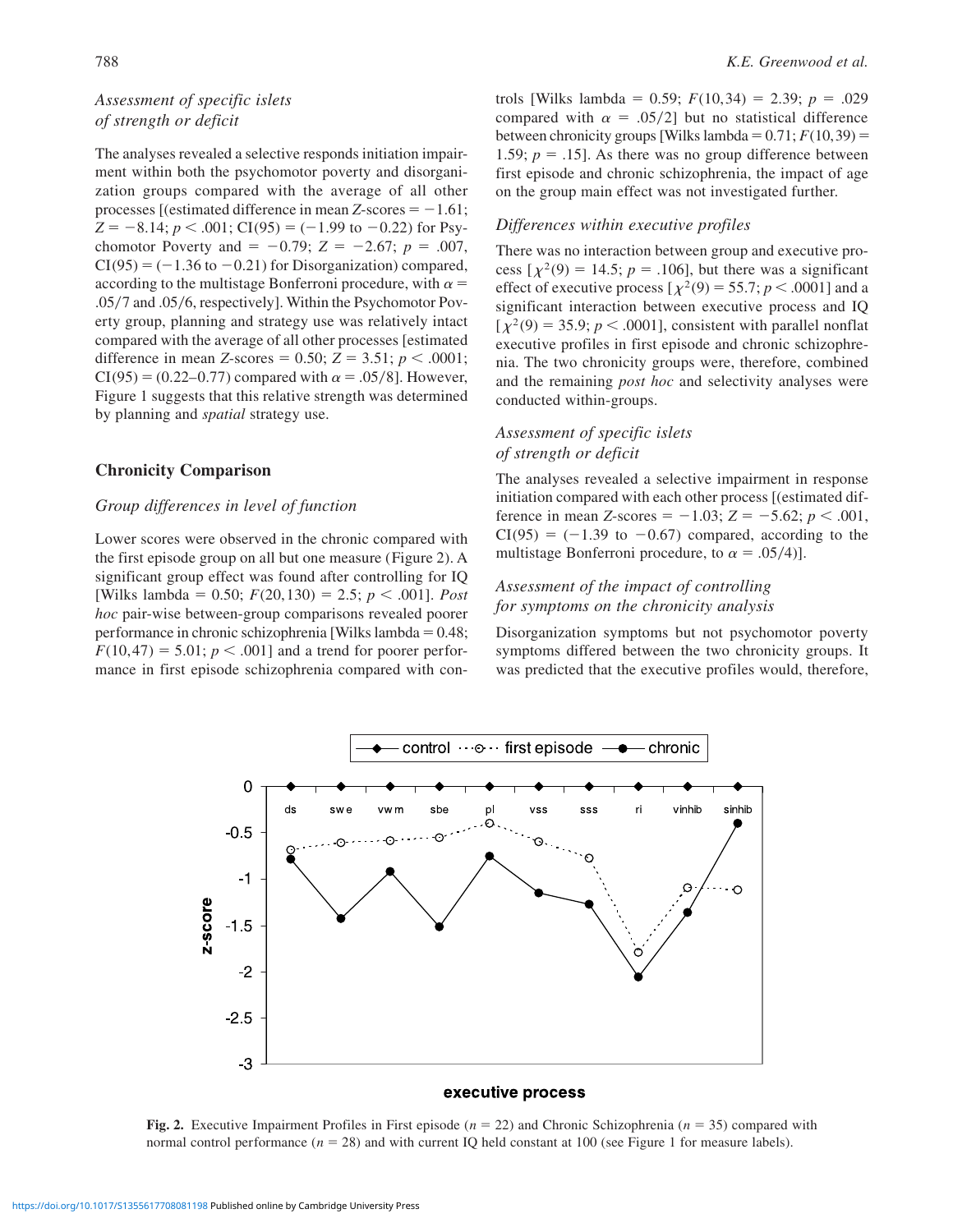# *Assessment of specific islets of strength or deficit*

The analyses revealed a selective responds initiation impairment within both the psychomotor poverty and disorganization groups compared with the average of all other processes [(estimated difference in mean *Z*-scores  $= -1.61$ ;  $Z = -8.14$ ;  $p < .001$ ; CI(95) = (-1.99 to -0.22) for Psychomotor Poverty and  $= -0.79$ ;  $Z = -2.67$ ;  $p = .007$ ,  $CI(95) = (-1.36 \text{ to } -0.21)$  for Disorganization) compared, according to the multistage Bonferroni procedure, with  $\alpha =$  $.05/7$  and  $.05/6$ , respectively]. Within the Psychomotor Poverty group, planning and strategy use was relatively intact compared with the average of all other processes [estimated difference in mean *Z*-scores = 0.50; *Z* = 3.51; *p* < .0001;  $CI(95) = (0.22 - 0.77)$  compared with  $\alpha = .05/8$ . However, Figure 1 suggests that this relative strength was determined by planning and *spatial* strategy use.

# **Chronicity Comparison**

### *Group differences in level of function*

Lower scores were observed in the chronic compared with the first episode group on all but one measure (Figure 2). A significant group effect was found after controlling for IQ [Wilks lambda =  $0.50$ ;  $F(20,130) = 2.5$ ;  $p < .001$ ]. *Post hoc* pair-wise between-group comparisons revealed poorer performance in chronic schizophrenia [Wilks lambda =  $0.48$ ;  $F(10,47) = 5.01$ ;  $p < .001$ ] and a trend for poorer performance in first episode schizophrenia compared with controls [Wilks lambda = 0.59;  $F(10,34) = 2.39$ ;  $p = .029$ compared with  $\alpha = .05/2$ ] but no statistical difference between chronicity groups [Wilks lambda =  $0.71; F(10,39)$  = 1.59;  $p = .15$ ]. As there was no group difference between first episode and chronic schizophrenia, the impact of age on the group main effect was not investigated further.

### *Differences within executive profiles*

There was no interaction between group and executive process  $\lceil \chi^2(9) \rceil = 14.5$ ;  $p = .106$ ], but there was a significant effect of executive process  $[\chi^2(9) = 55.7; p < .0001]$  and a significant interaction between executive process and IQ  $[\chi^2(9) = 35.9; p < .0001]$ , consistent with parallel nonflat executive profiles in first episode and chronic schizophrenia. The two chronicity groups were, therefore, combined and the remaining *post hoc* and selectivity analyses were conducted within-groups.

# *Assessment of specific islets of strength or deficit*

The analyses revealed a selective impairment in response initiation compared with each other process [(estimated difference in mean *Z*-scores =  $-1.03$ ; *Z* =  $-5.62$ ; *p* < .001,  $CI(95) = (-1.39 \text{ to } -0.67)$  compared, according to the multistage Bonferroni procedure, to  $\alpha = .05/4$ ].

# *Assessment of the impact of controlling for symptoms on the chronicity analysis*

Disorganization symptoms but not psychomotor poverty symptoms differed between the two chronicity groups. It was predicted that the executive profiles would, therefore,



#### executive process

**Fig. 2.** Executive Impairment Profiles in First episode ( $n = 22$ ) and Chronic Schizophrenia ( $n = 35$ ) compared with normal control performance  $(n = 28)$  and with current IQ held constant at 100 (see Figure 1 for measure labels).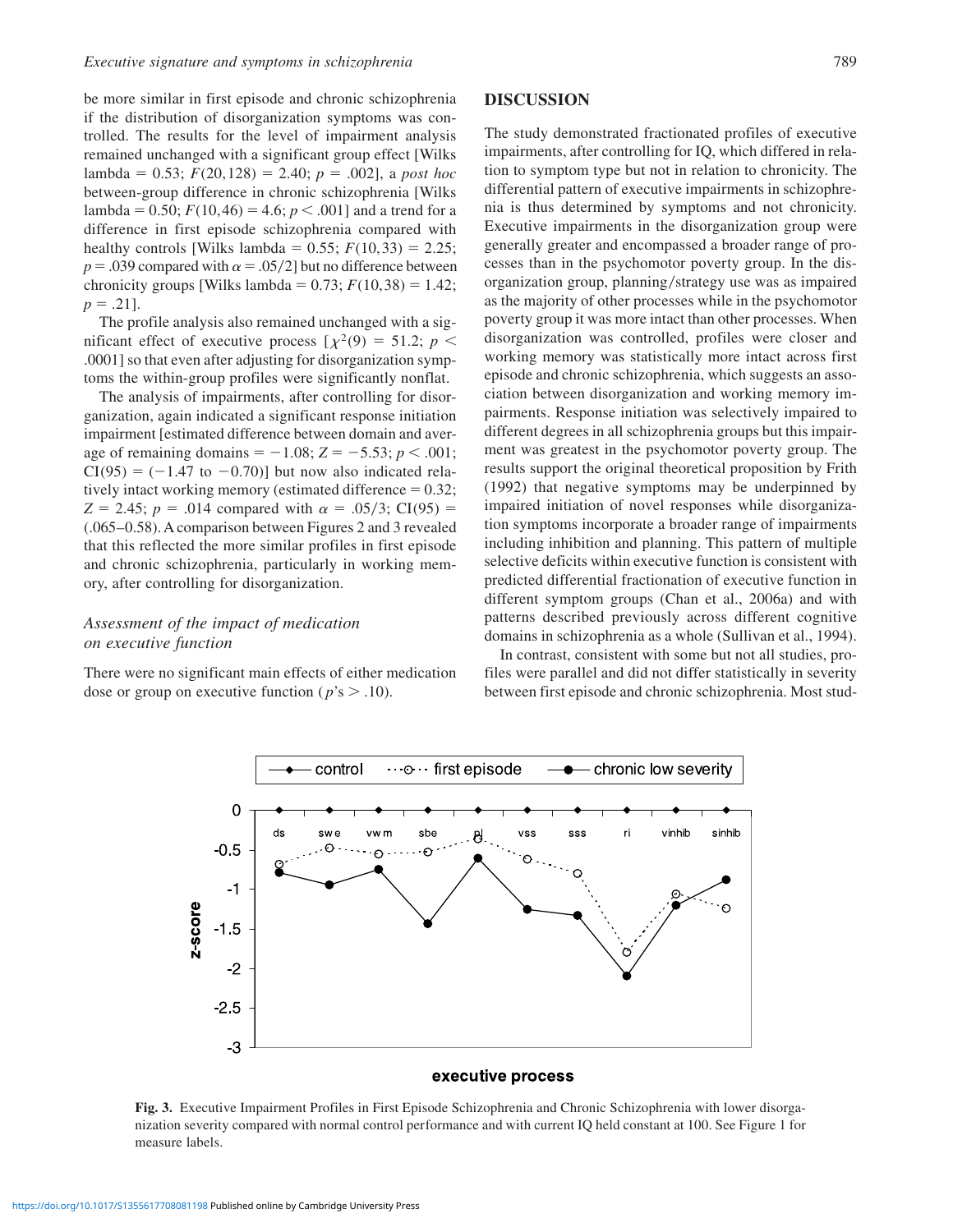be more similar in first episode and chronic schizophrenia if the distribution of disorganization symptoms was controlled. The results for the level of impairment analysis remained unchanged with a significant group effect [Wilks lambda = 0.53;  $F(20,128) = 2.40$ ;  $p = .002$ ], a *post hoc* between-group difference in chronic schizophrenia [Wilks lambda = 0.50;  $F(10,46) = 4.6$ ;  $p < .001$ ] and a trend for a difference in first episode schizophrenia compared with healthy controls [Wilks lambda =  $0.55$ ;  $F(10,33) = 2.25$ ;  $p = .039$  compared with  $\alpha = .05/2$ ] but no difference between chronicity groups [Wilks lambda =  $0.73$ ;  $F(10,38) = 1.42$ ;  $p = .21$ ].

The profile analysis also remained unchanged with a significant effect of executive process  $[\chi^2(9) = 51.2; p <$ .0001] so that even after adjusting for disorganization symptoms the within-group profiles were significantly nonflat.

The analysis of impairments, after controlling for disorganization, again indicated a significant response initiation impairment [estimated difference between domain and average of remaining domains =  $-1.08$ ; *Z* =  $-5.53$ ; *p* < .001;  $CI(95) = (-1.47$  to  $-0.70)$ ] but now also indicated relatively intact working memory (estimated difference  $= 0.32$ ; *Z* = 2.45; *p* = .014 compared with  $\alpha$  = .05/3; CI(95) = (.065–0.58). A comparison between Figures 2 and 3 revealed that this reflected the more similar profiles in first episode and chronic schizophrenia, particularly in working memory, after controlling for disorganization.

# *Assessment of the impact of medication on executive function*

There were no significant main effects of either medication dose or group on executive function ( $p$ 's  $> .10$ ).

### **DISCUSSION**

The study demonstrated fractionated profiles of executive impairments, after controlling for IQ, which differed in relation to symptom type but not in relation to chronicity. The differential pattern of executive impairments in schizophrenia is thus determined by symptoms and not chronicity. Executive impairments in the disorganization group were generally greater and encompassed a broader range of processes than in the psychomotor poverty group. In the disorganization group, planning/strategy use was as impaired as the majority of other processes while in the psychomotor poverty group it was more intact than other processes. When disorganization was controlled, profiles were closer and working memory was statistically more intact across first episode and chronic schizophrenia, which suggests an association between disorganization and working memory impairments. Response initiation was selectively impaired to different degrees in all schizophrenia groups but this impairment was greatest in the psychomotor poverty group. The results support the original theoretical proposition by Frith (1992) that negative symptoms may be underpinned by impaired initiation of novel responses while disorganization symptoms incorporate a broader range of impairments including inhibition and planning. This pattern of multiple selective deficits within executive function is consistent with predicted differential fractionation of executive function in different symptom groups (Chan et al., 2006a) and with patterns described previously across different cognitive domains in schizophrenia as a whole (Sullivan et al., 1994).

In contrast, consistent with some but not all studies, profiles were parallel and did not differ statistically in severity between first episode and chronic schizophrenia. Most stud-



**Fig. 3.** Executive Impairment Profiles in First Episode Schizophrenia and Chronic Schizophrenia with lower disorganization severity compared with normal control performance and with current IQ held constant at 100. See Figure 1 for measure labels.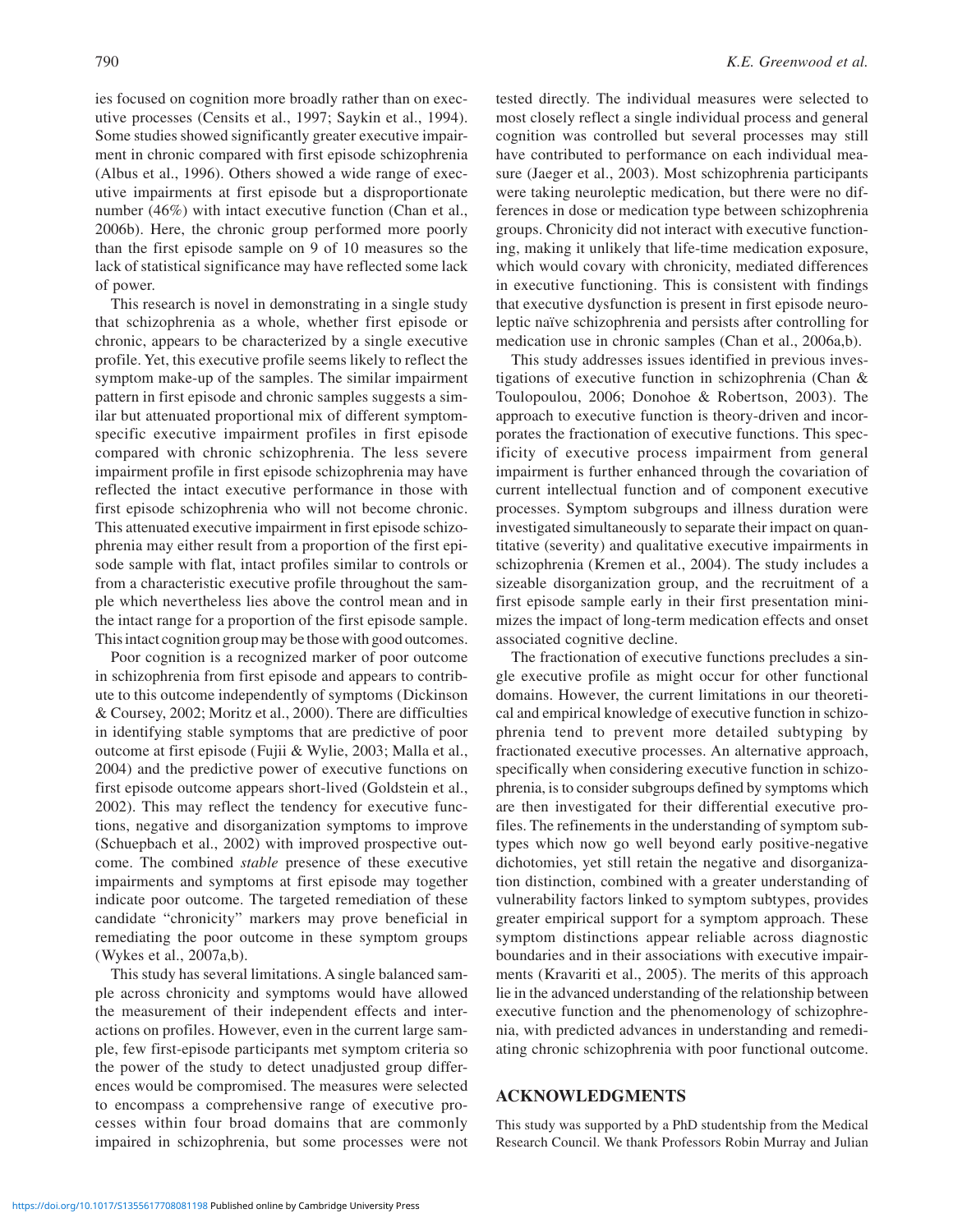ies focused on cognition more broadly rather than on executive processes (Censits et al., 1997; Saykin et al., 1994). Some studies showed significantly greater executive impairment in chronic compared with first episode schizophrenia (Albus et al., 1996). Others showed a wide range of executive impairments at first episode but a disproportionate number (46%) with intact executive function (Chan et al., 2006b). Here, the chronic group performed more poorly than the first episode sample on 9 of 10 measures so the lack of statistical significance may have reflected some lack of power.

This research is novel in demonstrating in a single study that schizophrenia as a whole, whether first episode or chronic, appears to be characterized by a single executive profile. Yet, this executive profile seems likely to reflect the symptom make-up of the samples. The similar impairment pattern in first episode and chronic samples suggests a similar but attenuated proportional mix of different symptomspecific executive impairment profiles in first episode compared with chronic schizophrenia. The less severe impairment profile in first episode schizophrenia may have reflected the intact executive performance in those with first episode schizophrenia who will not become chronic. This attenuated executive impairment in first episode schizophrenia may either result from a proportion of the first episode sample with flat, intact profiles similar to controls or from a characteristic executive profile throughout the sample which nevertheless lies above the control mean and in the intact range for a proportion of the first episode sample. This intact cognition group may be those with good outcomes.

Poor cognition is a recognized marker of poor outcome in schizophrenia from first episode and appears to contribute to this outcome independently of symptoms (Dickinson & Coursey, 2002; Moritz et al., 2000). There are difficulties in identifying stable symptoms that are predictive of poor outcome at first episode (Fujii & Wylie, 2003; Malla et al., 2004) and the predictive power of executive functions on first episode outcome appears short-lived (Goldstein et al., 2002). This may reflect the tendency for executive functions, negative and disorganization symptoms to improve (Schuepbach et al., 2002) with improved prospective outcome. The combined *stable* presence of these executive impairments and symptoms at first episode may together indicate poor outcome. The targeted remediation of these candidate "chronicity" markers may prove beneficial in remediating the poor outcome in these symptom groups (Wykes et al., 2007a,b).

This study has several limitations. A single balanced sample across chronicity and symptoms would have allowed the measurement of their independent effects and interactions on profiles. However, even in the current large sample, few first-episode participants met symptom criteria so the power of the study to detect unadjusted group differences would be compromised. The measures were selected to encompass a comprehensive range of executive processes within four broad domains that are commonly impaired in schizophrenia, but some processes were not

tested directly. The individual measures were selected to most closely reflect a single individual process and general cognition was controlled but several processes may still have contributed to performance on each individual measure (Jaeger et al., 2003). Most schizophrenia participants were taking neuroleptic medication, but there were no differences in dose or medication type between schizophrenia groups. Chronicity did not interact with executive functioning, making it unlikely that life-time medication exposure, which would covary with chronicity, mediated differences in executive functioning. This is consistent with findings that executive dysfunction is present in first episode neuroleptic naïve schizophrenia and persists after controlling for medication use in chronic samples (Chan et al., 2006a,b).

This study addresses issues identified in previous investigations of executive function in schizophrenia (Chan & Toulopoulou, 2006; Donohoe & Robertson, 2003). The approach to executive function is theory-driven and incorporates the fractionation of executive functions. This specificity of executive process impairment from general impairment is further enhanced through the covariation of current intellectual function and of component executive processes. Symptom subgroups and illness duration were investigated simultaneously to separate their impact on quantitative (severity) and qualitative executive impairments in schizophrenia (Kremen et al., 2004). The study includes a sizeable disorganization group, and the recruitment of a first episode sample early in their first presentation minimizes the impact of long-term medication effects and onset associated cognitive decline.

The fractionation of executive functions precludes a single executive profile as might occur for other functional domains. However, the current limitations in our theoretical and empirical knowledge of executive function in schizophrenia tend to prevent more detailed subtyping by fractionated executive processes. An alternative approach, specifically when considering executive function in schizophrenia, is to consider subgroups defined by symptoms which are then investigated for their differential executive profiles. The refinements in the understanding of symptom subtypes which now go well beyond early positive-negative dichotomies, yet still retain the negative and disorganization distinction, combined with a greater understanding of vulnerability factors linked to symptom subtypes, provides greater empirical support for a symptom approach. These symptom distinctions appear reliable across diagnostic boundaries and in their associations with executive impairments (Kravariti et al., 2005). The merits of this approach lie in the advanced understanding of the relationship between executive function and the phenomenology of schizophrenia, with predicted advances in understanding and remediating chronic schizophrenia with poor functional outcome.

### **ACKNOWLEDGMENTS**

This study was supported by a PhD studentship from the Medical Research Council. We thank Professors Robin Murray and Julian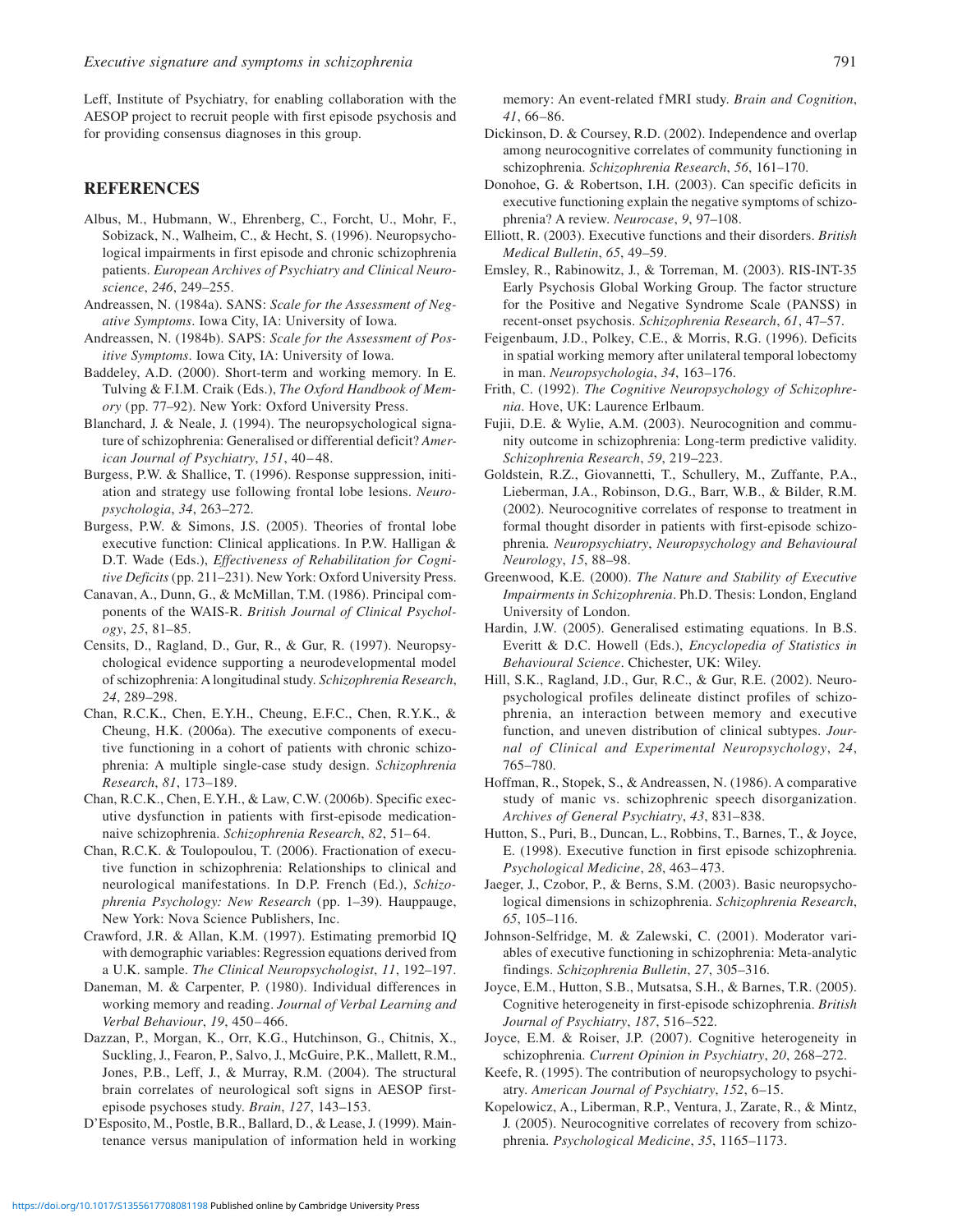Leff, Institute of Psychiatry, for enabling collaboration with the AESOP project to recruit people with first episode psychosis and for providing consensus diagnoses in this group.

### **REFERENCES**

- Albus, M., Hubmann, W., Ehrenberg, C., Forcht, U., Mohr, F., Sobizack, N., Walheim, C., & Hecht, S. (1996). Neuropsychological impairments in first episode and chronic schizophrenia patients. *European Archives of Psychiatry and Clinical Neuroscience*, *246*, 249–255.
- Andreassen, N. (1984a). SANS: *Scale for the Assessment of Negative Symptoms*. Iowa City, IA: University of Iowa.
- Andreassen, N. (1984b). SAPS: *Scale for the Assessment of Positive Symptoms*. Iowa City, IA: University of Iowa.
- Baddeley, A.D. (2000). Short-term and working memory. In E. Tulving & F.I.M. Craik (Eds.), *The Oxford Handbook of Memory* (pp. 77–92). New York: Oxford University Press.
- Blanchard, J. & Neale, J. (1994). The neuropsychological signature of schizophrenia: Generalised or differential deficit? *American Journal of Psychiatry*, 151, 40-48.
- Burgess, P.W. & Shallice, T. (1996). Response suppression, initiation and strategy use following frontal lobe lesions. *Neuropsychologia*, *34*, 263–272.
- Burgess, P.W. & Simons, J.S. (2005). Theories of frontal lobe executive function: Clinical applications. In P.W. Halligan & D.T. Wade (Eds.), *Effectiveness of Rehabilitation for Cognitive Deficits* (pp. 211–231). New York: Oxford University Press.
- Canavan, A., Dunn, G., & McMillan, T.M. (1986). Principal components of the WAIS-R. *British Journal of Clinical Psychology*, *25*, 81–85.
- Censits, D., Ragland, D., Gur, R., & Gur, R. (1997). Neuropsychological evidence supporting a neurodevelopmental model of schizophrenia: A longitudinal study. *Schizophrenia Research*, *24*, 289–298.
- Chan, R.C.K., Chen, E.Y.H., Cheung, E.F.C., Chen, R.Y.K., & Cheung, H.K. (2006a). The executive components of executive functioning in a cohort of patients with chronic schizophrenia: A multiple single-case study design. *Schizophrenia Research*, *81*, 173–189.
- Chan, R.C.K., Chen, E.Y.H., & Law, C.W. (2006b). Specific executive dysfunction in patients with first-episode medicationnaive schizophrenia. *Schizophrenia Research*, *82*, 51– 64.
- Chan, R.C.K. & Toulopoulou, T. (2006). Fractionation of executive function in schizophrenia: Relationships to clinical and neurological manifestations. In D.P. French (Ed.), *Schizophrenia Psychology: New Research* (pp. 1–39). Hauppauge, New York: Nova Science Publishers, Inc.
- Crawford, J.R. & Allan, K.M. (1997). Estimating premorbid IQ with demographic variables: Regression equations derived from a U.K. sample. *The Clinical Neuropsychologist*, *11*, 192–197.
- Daneman, M. & Carpenter, P. (1980). Individual differences in working memory and reading. *Journal of Verbal Learning and Verbal Behaviour*, *19*, 450– 466.
- Dazzan, P., Morgan, K., Orr, K.G., Hutchinson, G., Chitnis, X., Suckling, J., Fearon, P., Salvo, J., McGuire, P.K., Mallett, R.M., Jones, P.B., Leff, J., & Murray, R.M. (2004). The structural brain correlates of neurological soft signs in AESOP firstepisode psychoses study. *Brain*, *127*, 143–153.
- D'Esposito, M., Postle, B.R., Ballard, D., & Lease, J. (1999). Maintenance versus manipulation of information held in working

memory: An event-related fMRI study. *Brain and Cognition*, *41*, 66–86.

- Dickinson, D. & Coursey, R.D. (2002). Independence and overlap among neurocognitive correlates of community functioning in schizophrenia. *Schizophrenia Research*, *56*, 161–170.
- Donohoe, G. & Robertson, I.H. (2003). Can specific deficits in executive functioning explain the negative symptoms of schizophrenia? A review. *Neurocase*, *9*, 97–108.
- Elliott, R. (2003). Executive functions and their disorders. *British Medical Bulletin*, *65*, 49–59.
- Emsley, R., Rabinowitz, J., & Torreman, M. (2003). RIS-INT-35 Early Psychosis Global Working Group. The factor structure for the Positive and Negative Syndrome Scale (PANSS) in recent-onset psychosis. *Schizophrenia Research*, *61*, 47–57.
- Feigenbaum, J.D., Polkey, C.E., & Morris, R.G. (1996). Deficits in spatial working memory after unilateral temporal lobectomy in man. *Neuropsychologia*, *34*, 163–176.
- Frith, C. (1992). *The Cognitive Neuropsychology of Schizophrenia*. Hove, UK: Laurence Erlbaum.
- Fujii, D.E. & Wylie, A.M. (2003). Neurocognition and community outcome in schizophrenia: Long-term predictive validity. *Schizophrenia Research*, *59*, 219–223.
- Goldstein, R.Z., Giovannetti, T., Schullery, M., Zuffante, P.A., Lieberman, J.A., Robinson, D.G., Barr, W.B., & Bilder, R.M. (2002). Neurocognitive correlates of response to treatment in formal thought disorder in patients with first-episode schizophrenia. *Neuropsychiatry*, *Neuropsychology and Behavioural Neurology*, *15*, 88–98.
- Greenwood, K.E. (2000). *The Nature and Stability of Executive Impairments in Schizophrenia*. Ph.D. Thesis: London, England University of London.
- Hardin, J.W. (2005). Generalised estimating equations. In B.S. Everitt & D.C. Howell (Eds.), *Encyclopedia of Statistics in Behavioural Science*. Chichester, UK: Wiley.
- Hill, S.K., Ragland, J.D., Gur, R.C., & Gur, R.E. (2002). Neuropsychological profiles delineate distinct profiles of schizophrenia, an interaction between memory and executive function, and uneven distribution of clinical subtypes. *Journal of Clinical and Experimental Neuropsychology*, *24*, 765–780.
- Hoffman, R., Stopek, S., & Andreassen, N. (1986). A comparative study of manic vs. schizophrenic speech disorganization. *Archives of General Psychiatry*, *43*, 831–838.
- Hutton, S., Puri, B., Duncan, L., Robbins, T., Barnes, T., & Joyce, E. (1998). Executive function in first episode schizophrenia. *Psychological Medicine*, *28*, 463– 473.
- Jaeger, J., Czobor, P., & Berns, S.M. (2003). Basic neuropsychological dimensions in schizophrenia. *Schizophrenia Research*, *65*, 105–116.
- Johnson-Selfridge, M. & Zalewski, C. (2001). Moderator variables of executive functioning in schizophrenia: Meta-analytic findings. *Schizophrenia Bulletin*, *27*, 305–316.
- Joyce, E.M., Hutton, S.B., Mutsatsa, S.H., & Barnes, T.R. (2005). Cognitive heterogeneity in first-episode schizophrenia. *British Journal of Psychiatry*, *187*, 516–522.
- Joyce, E.M. & Roiser, J.P. (2007). Cognitive heterogeneity in schizophrenia. *Current Opinion in Psychiatry*, *20*, 268–272.
- Keefe, R. (1995). The contribution of neuropsychology to psychiatry. *American Journal of Psychiatry*, *152*, 6–15.
- Kopelowicz, A., Liberman, R.P., Ventura, J., Zarate, R., & Mintz, J. (2005). Neurocognitive correlates of recovery from schizophrenia. *Psychological Medicine*, *35*, 1165–1173.